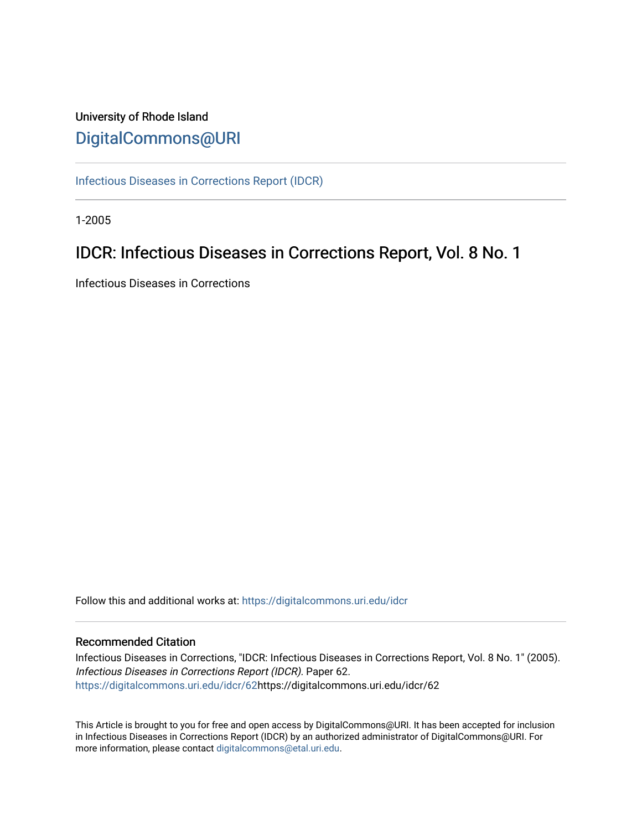### University of Rhode Island [DigitalCommons@URI](https://digitalcommons.uri.edu/)

[Infectious Diseases in Corrections Report \(IDCR\)](https://digitalcommons.uri.edu/idcr)

1-2005

## IDCR: Infectious Diseases in Corrections Report, Vol. 8 No. 1

Infectious Diseases in Corrections

Follow this and additional works at: [https://digitalcommons.uri.edu/idcr](https://digitalcommons.uri.edu/idcr?utm_source=digitalcommons.uri.edu%2Fidcr%2F62&utm_medium=PDF&utm_campaign=PDFCoverPages)

### Recommended Citation

Infectious Diseases in Corrections, "IDCR: Infectious Diseases in Corrections Report, Vol. 8 No. 1" (2005). Infectious Diseases in Corrections Report (IDCR). Paper 62. [https://digitalcommons.uri.edu/idcr/62h](https://digitalcommons.uri.edu/idcr/62?utm_source=digitalcommons.uri.edu%2Fidcr%2F62&utm_medium=PDF&utm_campaign=PDFCoverPages)ttps://digitalcommons.uri.edu/idcr/62

This Article is brought to you for free and open access by DigitalCommons@URI. It has been accepted for inclusion in Infectious Diseases in Corrections Report (IDCR) by an authorized administrator of DigitalCommons@URI. For more information, please contact [digitalcommons@etal.uri.edu.](mailto:digitalcommons@etal.uri.edu)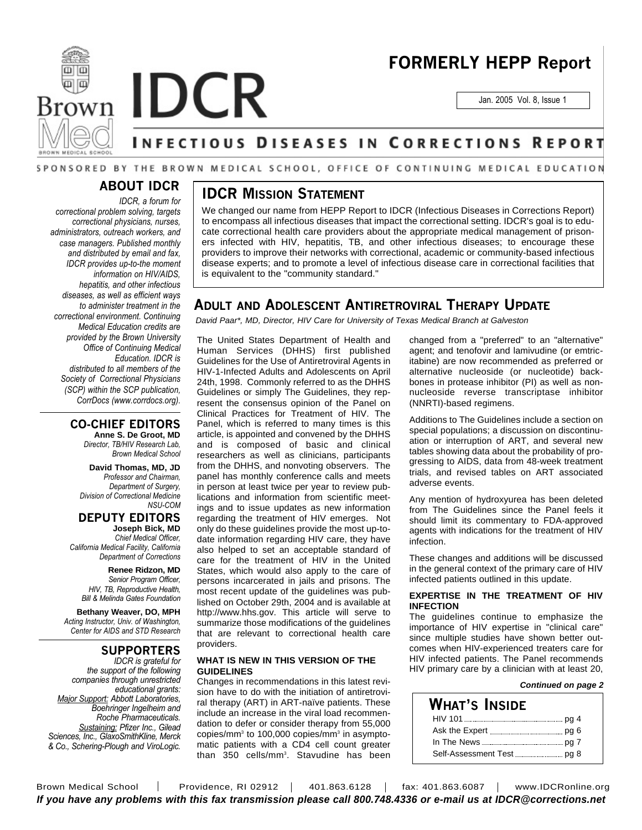



# **FORMERLY HEPP Report**

Jan. 2005 Vol. 8, Issue 1

### NFECTIOUS DISEASES IN CORRECTIONS REPORT

### SPONSORED BY THE BROWN MEDICAL SCHOOL, OFFICE OF CONTINUING MEDICAL EDUCATION

### **ABOUT IDCR**

*IDCR, a forum for correctional problem solving, targets correctional physicians, nurses, administrators, outreach workers, and case managers. Published monthly and distributed by email and fax, IDCR provides up-to-the moment information on HIV/AIDS, hepatitis, and other infectious diseases, as well as efficient ways to administer treatment in the correctional environment. Continuing Medical Education credits are provided by the Brown University Office of Continuing Medical Education. IDCR is distributed to all members of the Society of Correctional Physicians (SCP) within the SCP publication, CorrDocs (www.corrdocs.org).*

### **CO-CHIEF EDITORS**

**Anne S. De Groot, MD** *Director, TB/HIV Research Lab, Brown Medical School*

**David Thomas, MD, JD** *Professor and Chairman, Department of Surgery, Division of Correctional Medicine NSU-COM*

**DEPUTY EDITORS**

**Joseph Bick, MD** *Chief Medical Officer, California Medical Facility, California Department of Corrections*

**Renee Ridzon, MD** *Senior Program Officer, HIV, TB, Reproductive Health, Bill & Melinda Gates Foundation*

**Bethany Weaver, DO, MPH** *Acting Instructor, Univ. of Washington, Center for AIDS and STD Research*

### **SUPPORTERS**

*IDCR is grateful for the support of the following companies through unrestricted educational grants: Major Support: Abbott Laboratories, Boehringer Ingelheim and Roche Pharmaceuticals. Sustaining: Pfizer Inc., Gilead Sciences, Inc., GlaxoSmithKline, Merck & Co., Schering-Plough and ViroLogic.*

### **IDCR MISSION STATEMENT**

We changed our name from HEPP Report to IDCR (Infectious Diseases in Corrections Report) to encompass all infectious diseases that impact the correctional setting. IDCR's goal is to educate correctional health care providers about the appropriate medical management of prisoners infected with HIV, hepatitis, TB, and other infectious diseases; to encourage these providers to improve their networks with correctional, academic or community-based infectious disease experts; and to promote a level of infectious disease care in correctional facilities that is equivalent to the "community standard."

### **ADULT AND ADOLESCENT ANTIRETROVIRAL THERAPY UPDATE**

*David Paar\*, MD, Director, HIV Care for University of Texas Medical Branch at Galveston*

The United States Department of Health and Human Services (DHHS) first published Guidelines for the Use of Antiretroviral Agents in HIV-1-Infected Adults and Adolescents on April 24th, 1998. Commonly referred to as the DHHS Guidelines or simply The Guidelines, they represent the consensus opinion of the Panel on Clinical Practices for Treatment of HIV. The Panel, which is referred to many times is this article, is appointed and convened by the DHHS and is composed of basic and clinical researchers as well as clinicians, participants from the DHHS, and nonvoting observers. The panel has monthly conference calls and meets in person at least twice per year to review publications and information from scientific meetings and to issue updates as new information regarding the treatment of HIV emerges. Not only do these guidelines provide the most up-todate information regarding HIV care, they have also helped to set an acceptable standard of care for the treatment of HIV in the United States, which would also apply to the care of persons incarcerated in jails and prisons. The most recent update of the guidelines was published on October 29th, 2004 and is available at http://www.hhs.gov. This article will serve to summarize those modifications of the guidelines that are relevant to correctional health care providers.

### **WHAT IS NEW IN THIS VERSION OF THE GUIDELINES**

Changes in recommendations in this latest revision have to do with the initiation of antiretroviral therapy (ART) in ART-naïve patients. These include an increase in the viral load recommendation to defer or consider therapy from 55,000 copies/mm<sup>3</sup> to 100,000 copies/mm<sup>3</sup> in asymptomatic patients with a CD4 cell count greater than 350 cells/mm<sup>3</sup>. Stavudine has been

changed from a "preferred" to an "alternative" agent; and tenofovir and lamivudine (or emtricitabine) are now recommended as preferred or alternative nucleoside (or nucleotide) backbones in protease inhibitor (PI) as well as nonnucleoside reverse transcriptase inhibitor (NNRTI)-based regimens.

Additions to The Guidelines include a section on special populations; a discussion on discontinuation or interruption of ART, and several new tables showing data about the probability of progressing to AIDS, data from 48-week treatment trials, and revised tables on ART associated adverse events.

Any mention of hydroxyurea has been deleted from The Guidelines since the Panel feels it should limit its commentary to FDA-approved agents with indications for the treatment of HIV infection.

These changes and additions will be discussed in the general context of the primary care of HIV infected patients outlined in this update.

### **EXPERTISE IN THE TREATMENT OF HIV INFECTION**

The guidelines continue to emphasize the importance of HIV expertise in "clinical care" since multiple studies have shown better outcomes when HIV-experienced treaters care for HIV infected patients. The Panel recommends HIV primary care by a clinician with at least 20,

#### *Continued on page 2*

| What's Inside                                   |  |
|-------------------------------------------------|--|
|                                                 |  |
| Ask the Expert ____________________________pg 6 |  |
|                                                 |  |
|                                                 |  |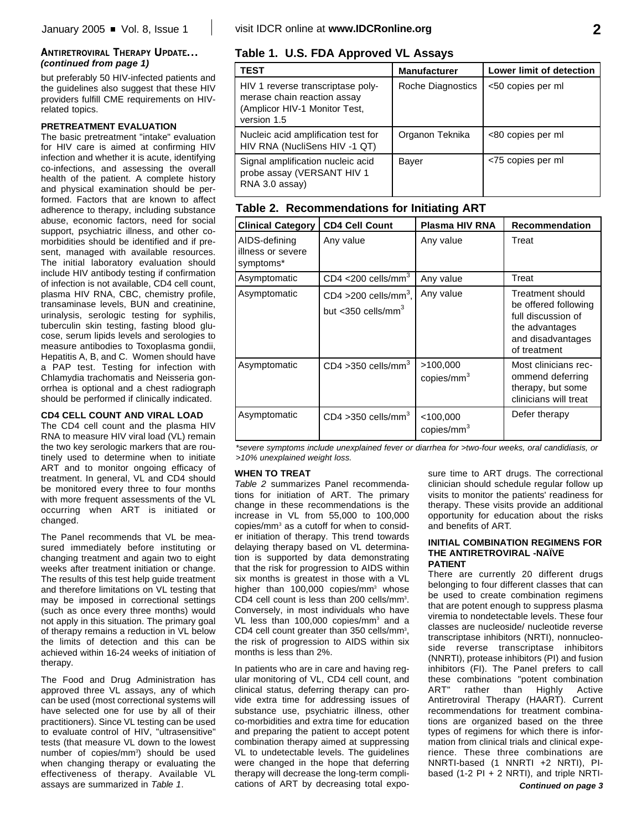but preferably 50 HIV-infected patients and the quidelines also suggest that these HIV providers fulfill CME requirements on HIVrelated topics.

### **PRETREATMENT EVALUATION**

The basic pretreatment "intake" evaluation for HIV care is aimed at confirming HIV infection and whether it is acute, identifying co-infections, and assessing the overall health of the patient. A complete history and physical examination should be performed. Factors that are known to affect adherence to therapy, including substance abuse, economic factors, need for social support, psychiatric illness, and other comorbidities should be identified and if present, managed with available resources. The initial laboratory evaluation should include HIV antibody testing if confirmation of infection is not available, CD4 cell count, plasma HIV RNA, CBC, chemistry profile, transaminase levels, BUN and creatinine, urinalysis, serologic testing for syphilis, tuberculin skin testing, fasting blood glucose, serum lipids levels and serologies to measure antibodies to Toxoplasma gondii, Hepatitis A, B, and C. Women should have a PAP test. Testing for infection with Chlamydia trachomatis and Neisseria gonorrhea is optional and a chest radiograph should be performed if clinically indicated.

### **CD4 CELL COUNT AND VIRAL LOAD**

The CD4 cell count and the plasma HIV RNA to measure HIV viral load (VL) remain the two key serologic markers that are routinely used to determine when to initiate ART and to monitor ongoing efficacy of treatment. In general, VL and CD4 should be monitored every three to four months with more frequent assessments of the VL occurring when ART is initiated or changed.

The Panel recommends that VL be measured immediately before instituting or changing treatment and again two to eight weeks after treatment initiation or change. The results of this test help guide treatment and therefore limitations on VL testing that may be imposed in correctional settings (such as once every three months) would not apply in this situation. The primary goal of therapy remains a reduction in VL below the limits of detection and this can be achieved within 16-24 weeks of initiation of therapy.

The Food and Drug Administration has approved three VL assays, any of which can be used (most correctional systems will have selected one for use by all of their practitioners). Since VL testing can be used to evaluate control of HIV, "ultrasensitive" tests (that measure VL down to the lowest number of copies/mm<sup>3</sup>) should be used when changing therapy or evaluating the effectiveness of therapy. Available VL assays are summarized in *Table 1*.

### **Table 1. U.S. FDA Approved VL Assays**

| <b>TEST</b>                                                                                                      | <b>Manufacturer</b> | Lower limit of detection |
|------------------------------------------------------------------------------------------------------------------|---------------------|--------------------------|
| HIV 1 reverse transcriptase poly-<br>merase chain reaction assay<br>(Amplicor HIV-1 Monitor Test,<br>version 1.5 | Roche Diagnostics   | <50 copies per ml        |
| Nucleic acid amplification test for<br>HIV RNA (NucliSens HIV -1 QT)                                             | Organon Teknika     | <80 copies per ml        |
| Signal amplification nucleic acid<br>probe assay (VERSANT HIV 1<br>RNA 3.0 assay)                                | Bayer               | <75 copies per ml        |

|  | Table 2. Recommendations for Initiating ART |  |  |  |
|--|---------------------------------------------|--|--|--|
|--|---------------------------------------------|--|--|--|

| <b>Clinical Category</b>                        | <b>CD4 Cell Count</b>                                                  | Plasma HIV RNA                        | <b>Recommendation</b>                                                                                                 |
|-------------------------------------------------|------------------------------------------------------------------------|---------------------------------------|-----------------------------------------------------------------------------------------------------------------------|
| AIDS-defining<br>illness or severe<br>symptoms* | Any value                                                              | Any value                             | Treat                                                                                                                 |
| Asymptomatic                                    | CD4 <200 cells/mm <sup>3</sup>                                         | Any value                             | Treat                                                                                                                 |
| Asymptomatic                                    | CD4 > 200 cells/mm <sup>3</sup> ,<br>but $<$ 350 cells/mm <sup>3</sup> | Any value                             | Treatment should<br>be offered following<br>full discussion of<br>the advantages<br>and disadvantages<br>of treatment |
| Asymptomatic                                    | $CD4 > 350$ cells/mm <sup>3</sup>                                      | >100,000<br>copies/mm <sup>3</sup>    | Most clinicians rec-<br>ommend deferring<br>therapy, but some<br>clinicians will treat                                |
| Asymptomatic                                    | $CD4 > 350$ cells/mm <sup>3</sup>                                      | $<$ 100,000<br>copies/mm <sup>3</sup> | Defer therapy                                                                                                         |

*\*severe symptoms include unexplained fever or diarrhea for >two-four weeks, oral candidiasis, or >10% unexplained weight loss.*

### **WHEN TO TREAT**

*Table 2* summarizes Panel recommendations for initiation of ART. The primary change in these recommendations is the increase in VL from 55,000 to 100,000 copies/mm<sup>3</sup> as a cutoff for when to consider initiation of therapy. This trend towards delaying therapy based on VL determination is supported by data demonstrating that the risk for progression to AIDS within six months is greatest in those with a VL higher than  $100,000$  copies/mm<sup>3</sup> whose CD4 cell count is less than 200 cells/mm $3$ . Conversely, in most individuals who have VL less than 100,000 copies/mm<sup>3</sup> and a CD4 cell count greater than  $350$  cells/mm<sup>3</sup>, the risk of progression to AIDS within six months is less than 2%.

In patients who are in care and having regular monitoring of VL, CD4 cell count, and clinical status, deferring therapy can provide extra time for addressing issues of substance use, psychiatric illness, other co-morbidities and extra time for education and preparing the patient to accept potent combination therapy aimed at suppressing VL to undetectable levels. The guidelines were changed in the hope that deferring therapy will decrease the long-term complications of ART by decreasing total exposure time to ART drugs. The correctional clinician should schedule regular follow up visits to monitor the patients' readiness for therapy. These visits provide an additional opportunity for education about the risks and benefits of ART.

#### **INITIAL COMBINATION REGIMENS FOR THE ANTIRETROVIRAL -NAÏVE PATIENT**

There are currently 20 different drugs belonging to four different classes that can be used to create combination regimens that are potent enough to suppress plasma viremia to nondetectable levels. These four classes are nucleoside/ nucleotide reverse transcriptase inhibitors (NRTI), nonnucleoside reverse transcriptase inhibitors (NNRTI), protease inhibitors (PI) and fusion inhibitors (FI). The Panel prefers to call these combinations "potent combination ART" rather than Highly Active Antiretroviral Therapy (HAART). Current recommendations for treatment combinations are organized based on the three types of regimens for which there is information from clinical trials and clinical experience. These three combinations are NNRTI-based (1 NNRTI +2 NRTI), PIbased (1-2 PI + 2 NRTI), and triple NRTI-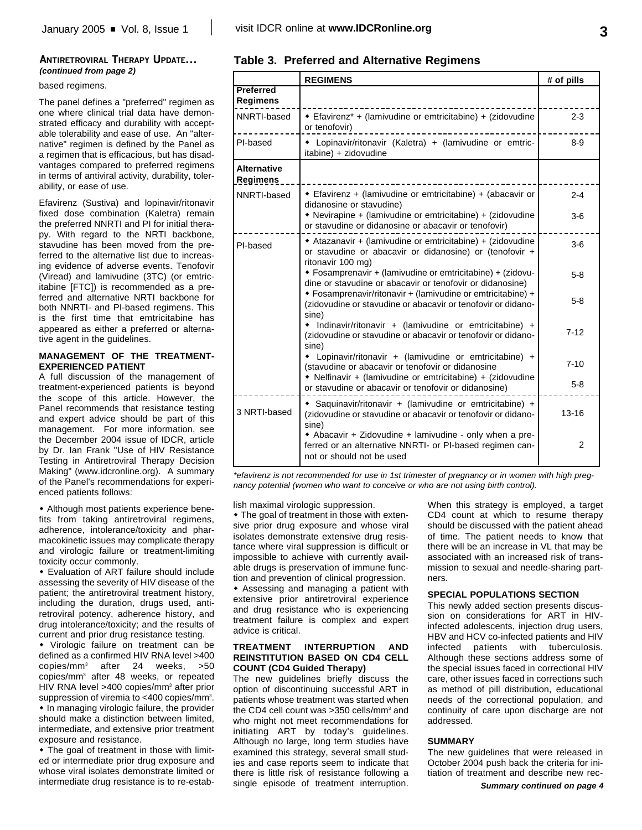### **ANTIRETROVIRAL THERAPY UPDATE...** *(continued from page 2)*

### based regimens.

The panel defines a "preferred" regimen as one where clinical trial data have demonstrated efficacy and durability with acceptable tolerability and ease of use. An "alternative" regimen is defined by the Panel as a regimen that is efficacious, but has disadvantages compared to preferred regimens in terms of antiviral activity, durability, tolerability, or ease of use.

Efavirenz (Sustiva) and lopinavir/ritonavir fixed dose combination (Kaletra) remain the preferred NNRTI and PI for initial therapy. With regard to the NRTI backbone, stavudine has been moved from the preferred to the alternative list due to increasing evidence of adverse events. Tenofovir (Viread) and lamivudine (3TC) (or emtricitabine [FTC]) is recommended as a preferred and alternative NRTI backbone for both NNRTI- and PI-based regimens. This is the first time that emtricitabine has appeared as either a preferred or alternative agent in the guidelines.

### **MANAGEMENT OF THE TREATMENT-EXPERIENCED PATIENT**

A full discussion of the management of treatment-experienced patients is beyond the scope of this article. However, the Panel recommends that resistance testing and expert advice should be part of this management. For more information, see the December 2004 issue of IDCR, article by Dr. Ian Frank "Use of HIV Resistance Testing in Antiretroviral Therapy Decision Making" (www.idcronline.org). A summary of the Panel's recommendations for experienced patients follows:

• Although most patients experience benefits from taking antiretroviral regimens, adherence, intolerance/toxicity and pharmacokinetic issues may complicate therapy and virologic failure or treatment-limiting toxicity occur commonly.

• Evaluation of ART failure should include assessing the severity of HIV disease of the patient; the antiretroviral treatment history, including the duration, drugs used, antiretroviral potency, adherence history, and drug intolerance/toxicity; and the results of current and prior drug resistance testing.

• Virologic failure on treatment can be defined as a confirmed HIV RNA level >400 copies/mm<sup>3</sup> after 24 weeks, >50 copies/mm<sup>3</sup> after 48 weeks, or repeated HIV RNA level >400 copies/mm<sup>3</sup> after prior suppression of viremia to <400 copies/mm<sup>3</sup>.  $\bullet$  In managing virologic failure, the provider should make a distinction between limited, intermediate, and extensive prior treatment exposure and resistance.

 $\bullet$  The goal of treatment in those with limited or intermediate prior drug exposure and whose viral isolates demonstrate limited or intermediate drug resistance is to re-estab-

### **Table 3. Preferred and Alternative Regimens**

|                                       | <b>REGIMENS</b>                                                                                                                                  | # of pills     |
|---------------------------------------|--------------------------------------------------------------------------------------------------------------------------------------------------|----------------|
| Preferred<br><b>Regimens</b>          |                                                                                                                                                  |                |
| NNRTI-based                           | • Efavirenz* + (lamivudine or emtricitabine) + (zidovudine<br>or tenofovir)                                                                      | $2 - 3$        |
| PI-based                              | • Lopinavir/ritonavir (Kaletra) + (lamivudine or emtric-<br>itabine) + zidovudine                                                                | $8 - 9$        |
| <b>Alternative</b><br><b>Regimens</b> |                                                                                                                                                  |                |
| NNRTI-based                           | • Efavirenz + (lamivudine or emtricitabine) + (abacavir or<br>didanosine or stavudine)                                                           | $2 - 4$        |
|                                       | • Nevirapine + (lamivudine or emtricitabine) + (zidovudine<br>or stavudine or didanosine or abacavir or tenofovir)                               | $3-6$          |
| PI-based                              | ◆ Atazanavir + (lamivudine or emtricitabine) + (zidovudine<br>or stavudine or abacavir or didanosine) or (tenofovir +<br>ritonavir 100 mg)       | $3-6$          |
|                                       | • Fosamprenavir + (lamivudine or emtricitabine) + (zidovu-<br>dine or stavudine or abacavir or tenofovir or didanosine)                          | $5 - 8$        |
|                                       | * Fosamprenavir/ritonavir + (lamivudine or emtricitabine) +<br>(zidovudine or stavudine or abacavir or tenofovir or didano-<br>sine)             | $5 - 8$        |
|                                       | • Indinavir/ritonavir + (lamivudine or emtricitabine) +<br>(zidovudine or stavudine or abacavir or tenofovir or didano-<br>sine)                 | $7 - 12$       |
|                                       | * Lopinavir/ritonavir + (lamivudine or emtricitabine) +<br>(stavudine or abacavir or tenofovir or didanosine                                     | $7 - 10$       |
|                                       | • Nelfinavir + (lamivudine or emtricitabine) + (zidovudine<br>or stavudine or abacavir or tenofovir or didanosine)                               | $5 - 8$        |
| 3 NRTI-based                          | • Saquinavir/ritonavir + (lamivudine or emtricitabine) +<br>(zidovudine or stavudine or abacavir or tenofovir or didano-<br>sine)                | $13 - 16$      |
|                                       | • Abacavir + Zidovudine + lamivudine - only when a pre-<br>ferred or an alternative NNRTI- or PI-based regimen can-<br>not or should not be used | $\overline{2}$ |

*\*efavirenz is not recommended for use in 1st trimester of pregnancy or in women with high pregnancy potential (women who want to conceive or who are not using birth control).*

lish maximal virologic suppression.

 $\bullet$  The goal of treatment in those with extensive prior drug exposure and whose viral isolates demonstrate extensive drug resistance where viral suppression is difficult or impossible to achieve with currently available drugs is preservation of immune function and prevention of clinical progression. • Assessing and managing a patient with extensive prior antiretroviral experience and drug resistance who is experiencing treatment failure is complex and expert advice is critical.

### **TREATMENT INTERRUPTION AND REINSTITUTION BASED ON CD4 CELL COUNT (CD4 Guided Therapy)**

The new guidelines briefly discuss the option of discontinuing successful ART in patients whose treatment was started when the CD4 cell count was  $>350$  cells/mm<sup>3</sup> and who might not meet recommendations for initiating ART by today's guidelines. Although no large, long term studies have examined this strategy, several small studies and case reports seem to indicate that there is little risk of resistance following a single episode of treatment interruption. When this strategy is employed, a target CD4 count at which to resume therapy should be discussed with the patient ahead of time. The patient needs to know that there will be an increase in VL that may be associated with an increased risk of transmission to sexual and needle-sharing partners.

### **SPECIAL POPULATIONS SECTION**

This newly added section presents discussion on considerations for ART in HIVinfected adolescents, injection drug users, HBV and HCV co-infected patients and HIV infected patients with tuberculosis. Although these sections address some of the special issues faced in correctional HIV care, other issues faced in corrections such as method of pill distribution, educational needs of the correctional population, and continuity of care upon discharge are not addressed.

### **SUMMARY**

The new guidelines that were released in October 2004 push back the criteria for initiation of treatment and describe new rec-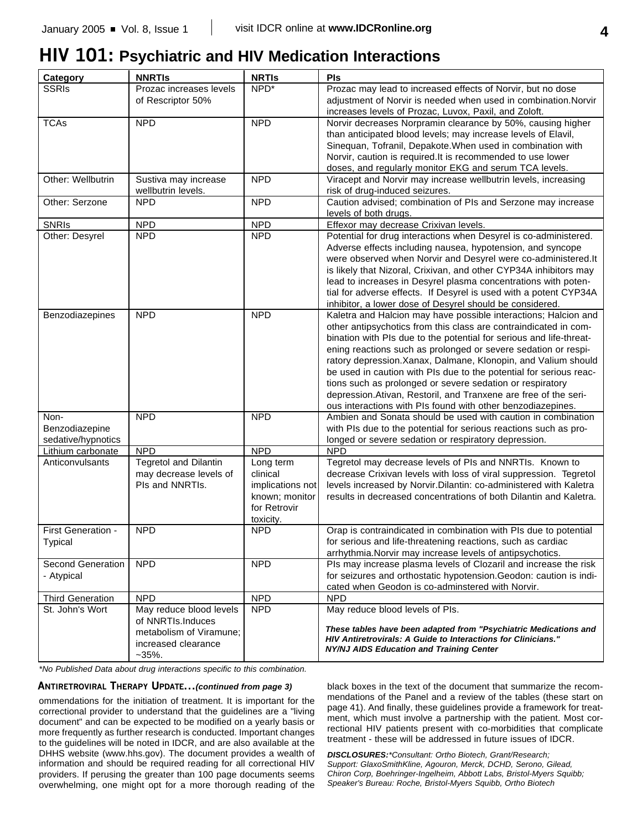## **HIV 101: Psychiatric and HIV Medication Interactions**

| Category                                     | <b>NNRTIS</b>                                                                                              | <b>NRTIS</b>                                                                             | Pls                                                                                                                                                                                                                                                                                                                                                                                                                                                                                                                                                                                                                  |
|----------------------------------------------|------------------------------------------------------------------------------------------------------------|------------------------------------------------------------------------------------------|----------------------------------------------------------------------------------------------------------------------------------------------------------------------------------------------------------------------------------------------------------------------------------------------------------------------------------------------------------------------------------------------------------------------------------------------------------------------------------------------------------------------------------------------------------------------------------------------------------------------|
| <b>SSRIs</b>                                 | Prozac increases levels<br>of Rescriptor 50%                                                               | NPD*                                                                                     | Prozac may lead to increased effects of Norvir, but no dose<br>adjustment of Norvir is needed when used in combination. Norvir<br>increases levels of Prozac, Luvox, Paxil, and Zoloft.                                                                                                                                                                                                                                                                                                                                                                                                                              |
| <b>TCAs</b>                                  | <b>NPD</b>                                                                                                 | <b>NPD</b>                                                                               | Norvir decreases Norpramin clearance by 50%, causing higher<br>than anticipated blood levels; may increase levels of Elavil,<br>Sinequan, Tofranil, Depakote. When used in combination with<br>Norvir, caution is required.It is recommended to use lower<br>doses, and regularly monitor EKG and serum TCA levels.                                                                                                                                                                                                                                                                                                  |
| Other: Wellbutrin                            | Sustiva may increase<br>wellbutrin levels.                                                                 | <b>NPD</b>                                                                               | Viracept and Norvir may increase wellbutrin levels, increasing<br>risk of drug-induced seizures.                                                                                                                                                                                                                                                                                                                                                                                                                                                                                                                     |
| Other: Serzone                               | <b>NPD</b>                                                                                                 | <b>NPD</b>                                                                               | Caution advised; combination of PIs and Serzone may increase<br>levels of both drugs.                                                                                                                                                                                                                                                                                                                                                                                                                                                                                                                                |
| <b>SNRIS</b>                                 | <b>NPD</b>                                                                                                 | <b>NPD</b>                                                                               | Effexor may decrease Crixivan levels.                                                                                                                                                                                                                                                                                                                                                                                                                                                                                                                                                                                |
| Other: Desyrel                               | <b>NPD</b>                                                                                                 | <b>NPD</b>                                                                               | Potential for drug interactions when Desyrel is co-administered.<br>Adverse effects including nausea, hypotension, and syncope<br>were observed when Norvir and Desyrel were co-administered.It<br>is likely that Nizoral, Crixivan, and other CYP34A inhibitors may<br>lead to increases in Desyrel plasma concentrations with poten-<br>tial for adverse effects. If Desyrel is used with a potent CYP34A<br>inhibitor, a lower dose of Desyrel should be considered.                                                                                                                                              |
| Benzodiazepines                              | <b>NPD</b>                                                                                                 | <b>NPD</b>                                                                               | Kaletra and Halcion may have possible interactions; Halcion and<br>other antipsychotics from this class are contraindicated in com-<br>bination with PIs due to the potential for serious and life-threat-<br>ening reactions such as prolonged or severe sedation or respi-<br>ratory depression. Xanax, Dalmane, Klonopin, and Valium should<br>be used in caution with PIs due to the potential for serious reac-<br>tions such as prolonged or severe sedation or respiratory<br>depression. Ativan, Restoril, and Tranxene are free of the seri-<br>ous interactions with PIs found with other benzodiazepines. |
| Non-<br>Benzodiazepine<br>sedative/hypnotics | <b>NPD</b>                                                                                                 | <b>NPD</b>                                                                               | Ambien and Sonata should be used with caution in combination<br>with PIs due to the potential for serious reactions such as pro-<br>longed or severe sedation or respiratory depression.                                                                                                                                                                                                                                                                                                                                                                                                                             |
| Lithium carbonate                            | <b>NPD</b>                                                                                                 | <b>NPD</b>                                                                               | <b>NPD</b>                                                                                                                                                                                                                                                                                                                                                                                                                                                                                                                                                                                                           |
| Anticonvulsants                              | <b>Tegretol and Dilantin</b><br>may decrease levels of<br>Pls and NNRTIs.                                  | Long term<br>clinical<br>implications not<br>known; monitor<br>for Retrovir<br>toxicity. | Tegretol may decrease levels of PIs and NNRTIs. Known to<br>decrease Crixivan levels with loss of viral suppression. Tegretol<br>levels increased by Norvir. Dilantin: co-administered with Kaletra<br>results in decreased concentrations of both Dilantin and Kaletra.                                                                                                                                                                                                                                                                                                                                             |
| First Generation -<br>Typical                | <b>NPD</b>                                                                                                 | <b>NPD</b>                                                                               | Orap is contraindicated in combination with PIs due to potential<br>for serious and life-threatening reactions, such as cardiac<br>arrhythmia. Norvir may increase levels of antipsychotics.                                                                                                                                                                                                                                                                                                                                                                                                                         |
| Second Generation<br>- Atypical              | <b>NPD</b>                                                                                                 | <b>NPD</b>                                                                               | PIs may increase plasma levels of Clozaril and increase the risk<br>for seizures and orthostatic hypotension. Geodon: caution is indi-<br>cated when Geodon is co-adminstered with Norvir.                                                                                                                                                                                                                                                                                                                                                                                                                           |
| <b>Third Generation</b>                      | <b>NPD</b>                                                                                                 | <b>NPD</b>                                                                               | <b>NPD</b>                                                                                                                                                                                                                                                                                                                                                                                                                                                                                                                                                                                                           |
| St. John's Wort                              | May reduce blood levels<br>of NNRTIs.Induces<br>metabolism of Viramune;<br>increased clearance<br>$-35%$ . | <b>NPD</b>                                                                               | May reduce blood levels of PIs.<br>These tables have been adapted from "Psychiatric Medications and<br>HIV Antiretrovirals: A Guide to Interactions for Clinicians."<br>NY/NJ AIDS Education and Training Center                                                                                                                                                                                                                                                                                                                                                                                                     |

*\*No Published Data about drug interactions specific to this combination.*

### **ANTIRETROVIRAL THERAPY UPDATE...***(continued from page 3)*

ommendations for the initiation of treatment. It is important for the correctional provider to understand that the guidelines are a "living document" and can be expected to be modified on a yearly basis or more frequently as further research is conducted. Important changes to the guidelines will be noted in IDCR, and are also available at the DHHS website (www.hhs.gov). The document provides a wealth of information and should be required reading for all correctional HIV providers. If perusing the greater than 100 page documents seems overwhelming, one might opt for a more thorough reading of the

black boxes in the text of the document that summarize the recommendations of the Panel and a review of the tables (these start on page 41). And finally, these guidelines provide a framework for treatment, which must involve a partnership with the patient. Most correctional HIV patients present with co-morbidities that complicate treatment - these will be addressed in future issues of IDCR.

*DISCLOSURES:\*Consultant: Ortho Biotech, Grant/Research; Support: GlaxoSmithKline, Agouron, Merck, DCHD, Serono, Gilead, Chiron Corp, Boehringer-Ingelheim, Abbott Labs, Bristol-Myers Squibb; Speaker's Bureau: Roche, Bristol-Myers Squibb, Ortho Biotech*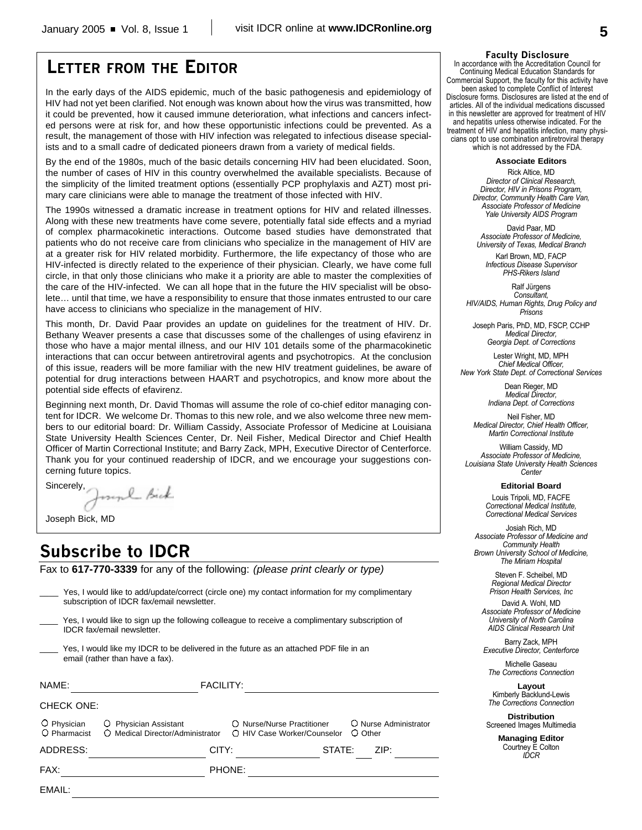### **LETTER FROM THE EDITOR**

In the early days of the AIDS epidemic, much of the basic pathogenesis and epidemiology of HIV had not yet been clarified. Not enough was known about how the virus was transmitted, how it could be prevented, how it caused immune deterioration, what infections and cancers infected persons were at risk for, and how these opportunistic infections could be prevented. As a result, the management of those with HIV infection was relegated to infectious disease specialists and to a small cadre of dedicated pioneers drawn from a variety of medical fields.

By the end of the 1980s, much of the basic details concerning HIV had been elucidated. Soon, the number of cases of HIV in this country overwhelmed the available specialists. Because of the simplicity of the limited treatment options (essentially PCP prophylaxis and AZT) most primary care clinicians were able to manage the treatment of those infected with HIV.

The 1990s witnessed a dramatic increase in treatment options for HIV and related illnesses. Along with these new treatments have come severe, potentially fatal side effects and a myriad of complex pharmacokinetic interactions. Outcome based studies have demonstrated that patients who do not receive care from clinicians who specialize in the management of HIV are at a greater risk for HIV related morbidity. Furthermore, the life expectancy of those who are HIV-infected is directly related to the experience of their physician. Clearly, we have come full circle, in that only those clinicians who make it a priority are able to master the complexities of the care of the HIV-infected. We can all hope that in the future the HIV specialist will be obsolete… until that time, we have a responsibility to ensure that those inmates entrusted to our care have access to clinicians who specialize in the management of HIV.

This month, Dr. David Paar provides an update on guidelines for the treatment of HIV. Dr. Bethany Weaver presents a case that discusses some of the challenges of using efavirenz in those who have a major mental illness, and our HIV 101 details some of the pharmacokinetic interactions that can occur between antiretroviral agents and psychotropics. At the conclusion of this issue, readers will be more familiar with the new HIV treatment guidelines, be aware of potential for drug interactions between HAART and psychotropics, and know more about the potential side effects of efavirenz.

Beginning next month, Dr. David Thomas will assume the role of co-chief editor managing content for IDCR. We welcome Dr. Thomas to this new role, and we also welcome three new members to our editorial board: Dr. William Cassidy, Associate Professor of Medicine at Louisiana State University Health Sciences Center, Dr. Neil Fisher, Medical Director and Chief Health Officer of Martin Correctional Institute; and Barry Zack, MPH, Executive Director of Centerforce. Thank you for your continued readership of IDCR, and we encourage your suggestions concerning future topics.

Sincerely, myl Bick

Joseph Bick, MD

### **Subscribe to IDCR**

Fax to **617-770-3339** for any of the following: *(please print clearly or type)*

|                                                                                                                                      | Yes, I would like to add/update/correct (circle one) my contact information for my complimentary<br>subscription of IDCR fax/email newsletter. |                                                           |                                    |
|--------------------------------------------------------------------------------------------------------------------------------------|------------------------------------------------------------------------------------------------------------------------------------------------|-----------------------------------------------------------|------------------------------------|
| Yes, I would like to sign up the following colleague to receive a complimentary subscription of<br><b>IDCR</b> fax/email newsletter. |                                                                                                                                                |                                                           |                                    |
| Yes, I would like my IDCR to be delivered in the future as an attached PDF file in an<br>email (rather than have a fax).             |                                                                                                                                                |                                                           |                                    |
| NAME:                                                                                                                                | <b>FACILITY:</b>                                                                                                                               |                                                           |                                    |
| <b>CHECK ONE:</b>                                                                                                                    |                                                                                                                                                |                                                           |                                    |
| $\circ$ Physician<br>O Pharmacist                                                                                                    | O Physician Assistant<br>O Medical Director/Administrator                                                                                      | ○ Nurse/Nurse Practitioner<br>○ HIV Case Worker/Counselor | O Nurse Administrator<br>$O$ Other |
| ADDRESS:                                                                                                                             | CITY:                                                                                                                                          | STATE:                                                    | ZIP:                               |
| FAX:                                                                                                                                 |                                                                                                                                                | PHONE:                                                    |                                    |
| EMAIL:                                                                                                                               |                                                                                                                                                |                                                           |                                    |
|                                                                                                                                      |                                                                                                                                                |                                                           |                                    |

#### **Faculty Disclosure**

In accordance with the Accreditation Council for Continuing Medical Education Standards for Commercial Support, the faculty for this activity have been asked to complete Conflict of Interest Disclosure forms. Disclosures are listed at the end of articles. All of the individual medications discussed in this newsletter are approved for treatment of HIV and hepatitis unless otherwise indicated. For the treatment of HIV and hepatitis infection, many physicians opt to use combination antiretroviral therapy which is not addressed by the FDA.

**Associate Editors**

Rick Altice, MD *Director of Clinical Research, Director, HIV in Prisons Program, Director, Community Health Care Van, Associate Professor of Medicine Yale University AIDS Program*

David Paar, MD *Associate Professor of Medicine, University of Texas, Medical Branch*

Karl Brown, MD, FACP *Infectious Disease Supervisor PHS-Rikers Island*

Ralf Jürgens *Consultant, HIV/AIDS, Human Rights, Drug Policy and Prisons*

Joseph Paris, PhD, MD, FSCP, CCHP *Medical Director, Georgia Dept. of Corrections*

Lester Wright, MD, MPH *Chief Medical Officer, New York State Dept. of Correctional Services*

> Dean Rieger, MD *Medical Director, Indiana Dept. of Corrections*

Neil Fisher, MD *Medical Director, Chief Health Officer, Martin Correctional Institute*

William Cassidy, MD *Associate Professor of Medicine, Louisiana State University Health Sciences Center*

**Editorial Board**

Louis Tripoli, MD, FACFE *Correctional Medical Institute, Correctional Medical Services*

Josiah Rich, MD *Associate Professor of Medicine and Community Health Brown University School of Medicine, The Miriam Hospital*

> Steven F. Scheibel, MD *Regional Medical Director Prison Health Services, Inc*

David A. Wohl, MD *Associate Professor of Medicine University of North Carolina AIDS Clinical Research Unit*

Barry Zack, MPH *Executive Director, Centerforce*

Michelle Gaseau *The Corrections Connection*

**Layout** Kimberly Backlund-Lewis *The Corrections Connection*

**Distribution** Screened Images Multimedia

> **Managing Editor** Courtney E Colton *IDCR*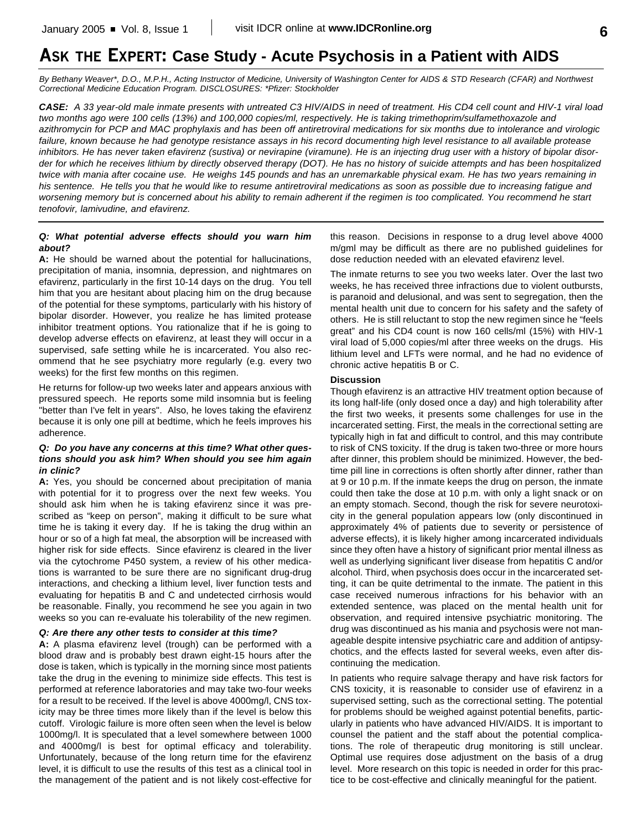## **ASK THE EXPERT: Case Study - Acute Psychosis in a Patient with AIDS**

*By Bethany Weaver\*, D.O., M.P.H., Acting Instructor of Medicine, University of Washington Center for AIDS & STD Research (CFAR) and Northwest Correctional Medicine Education Program. DISCLOSURES: \*Pfizer: Stockholder*

*CASE: A 33 year-old male inmate presents with untreated C3 HIV/AIDS in need of treatment. His CD4 cell count and HIV-1 viral load two months ago were 100 cells (13%) and 100,000 copies/ml, respectively. He is taking trimethoprim/sulfamethoxazole and azithromycin for PCP and MAC prophylaxis and has been off antiretroviral medications for six months due to intolerance and virologic failure, known because he had genotype resistance assays in his record documenting high level resistance to all available protease inhibitors. He has never taken efavirenz (sustiva) or nevirapine (viramune). He is an injecting drug user with a history of bipolar disorder for which he receives lithium by directly observed therapy (DOT). He has no history of suicide attempts and has been hospitalized twice with mania after cocaine use. He weighs 145 pounds and has an unremarkable physical exam. He has two years remaining in his sentence. He tells you that he would like to resume antiretroviral medications as soon as possible due to increasing fatigue and worsening memory but is concerned about his ability to remain adherent if the regimen is too complicated. You recommend he start tenofovir, lamivudine, and efavirenz.*

### *Q: What potential adverse effects should you warn him about?*

**A:** He should be warned about the potential for hallucinations, precipitation of mania, insomnia, depression, and nightmares on efavirenz, particularly in the first 10-14 days on the drug. You tell him that you are hesitant about placing him on the drug because of the potential for these symptoms, particularly with his history of bipolar disorder. However, you realize he has limited protease inhibitor treatment options. You rationalize that if he is going to develop adverse effects on efavirenz, at least they will occur in a supervised, safe setting while he is incarcerated. You also recommend that he see psychiatry more regularly (e.g. every two weeks) for the first few months on this regimen.

He returns for follow-up two weeks later and appears anxious with pressured speech. He reports some mild insomnia but is feeling "better than I've felt in years". Also, he loves taking the efavirenz because it is only one pill at bedtime, which he feels improves his adherence.

### *Q: Do you have any concerns at this time? What other questions should you ask him? When should you see him again in clinic?*

**A:** Yes, you should be concerned about precipitation of mania with potential for it to progress over the next few weeks. You should ask him when he is taking efavirenz since it was prescribed as "keep on person", making it difficult to be sure what time he is taking it every day. If he is taking the drug within an hour or so of a high fat meal, the absorption will be increased with higher risk for side effects. Since efavirenz is cleared in the liver via the cytochrome P450 system, a review of his other medications is warranted to be sure there are no significant drug-drug interactions, and checking a lithium level, liver function tests and evaluating for hepatitis B and C and undetected cirrhosis would be reasonable. Finally, you recommend he see you again in two weeks so you can re-evaluate his tolerability of the new regimen.

### *Q: Are there any other tests to consider at this time?*

**A:** A plasma efavirenz level (trough) can be performed with a blood draw and is probably best drawn eight-15 hours after the dose is taken, which is typically in the morning since most patients take the drug in the evening to minimize side effects. This test is performed at reference laboratories and may take two-four weeks for a result to be received. If the level is above 4000mg/l, CNS toxicity may be three times more likely than if the level is below this cutoff. Virologic failure is more often seen when the level is below 1000mg/l. It is speculated that a level somewhere between 1000 and 4000mg/l is best for optimal efficacy and tolerability. Unfortunately, because of the long return time for the efavirenz level, it is difficult to use the results of this test as a clinical tool in the management of the patient and is not likely cost-effective for

this reason. Decisions in response to a drug level above 4000 m/gml may be difficult as there are no published guidelines for dose reduction needed with an elevated efavirenz level.

The inmate returns to see you two weeks later. Over the last two weeks, he has received three infractions due to violent outbursts, is paranoid and delusional, and was sent to segregation, then the mental health unit due to concern for his safety and the safety of others. He is still reluctant to stop the new regimen since he "feels great" and his CD4 count is now 160 cells/ml (15%) with HIV-1 viral load of 5,000 copies/ml after three weeks on the drugs. His lithium level and LFTs were normal, and he had no evidence of chronic active hepatitis B or C.

#### **Discussion**

Though efavirenz is an attractive HIV treatment option because of its long half-life (only dosed once a day) and high tolerability after the first two weeks, it presents some challenges for use in the incarcerated setting. First, the meals in the correctional setting are typically high in fat and difficult to control, and this may contribute to risk of CNS toxicity. If the drug is taken two-three or more hours after dinner, this problem should be minimized. However, the bedtime pill line in corrections is often shortly after dinner, rather than at 9 or 10 p.m. If the inmate keeps the drug on person, the inmate could then take the dose at 10 p.m. with only a light snack or on an empty stomach. Second, though the risk for severe neurotoxicity in the general population appears low (only discontinued in approximately 4% of patients due to severity or persistence of adverse effects), it is likely higher among incarcerated individuals since they often have a history of significant prior mental illness as well as underlying significant liver disease from hepatitis C and/or alcohol. Third, when psychosis does occur in the incarcerated setting, it can be quite detrimental to the inmate. The patient in this case received numerous infractions for his behavior with an extended sentence, was placed on the mental health unit for observation, and required intensive psychiatric monitoring. The drug was discontinued as his mania and psychosis were not manageable despite intensive psychiatric care and addition of antipsychotics, and the effects lasted for several weeks, even after discontinuing the medication.

In patients who require salvage therapy and have risk factors for CNS toxicity, it is reasonable to consider use of efavirenz in a supervised setting, such as the correctional setting. The potential for problems should be weighed against potential benefits, particularly in patients who have advanced HIV/AIDS. It is important to counsel the patient and the staff about the potential complications. The role of therapeutic drug monitoring is still unclear. Optimal use requires dose adjustment on the basis of a drug level. More research on this topic is needed in order for this practice to be cost-effective and clinically meaningful for the patient.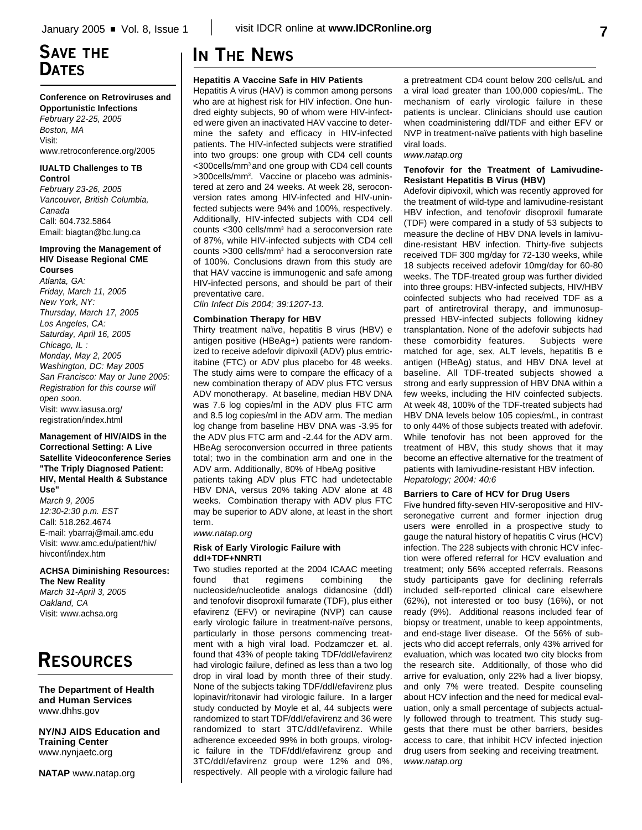### **SAVE THE DATES**

### **Conference on Retroviruses and**

**Opportunistic Infections** *February 22-25, 2005 Boston, MA* Visit: www.retroconference.org/2005

#### **IUALTD Challenges to TB Control**

*February 23-26, 2005 Vancouver, British Columbia, Canada* Call: 604.732.5864 Email: biagtan@bc.lung.ca

#### **Improving the Management of HIV Disease Regional CME Courses**

*Atlanta, GA: Friday, March 11, 2005 New York, NY: Thursday, March 17, 2005 Los Angeles, CA: Saturday, April 16, 2005 Chicago, IL : Monday, May 2, 2005 Washington, DC: May 2005 San Francisco: May or June 2005: Registration for this course will open soon.* Visit: www.iasusa.org/ registration/index.html

### **Management of HIV/AIDS in the Correctional Setting: A Live Satellite Videoconference Series "The Triply Diagnosed Patient: HIV, Mental Health & Substance Use"**

*March 9, 2005 12:30-2:30 p.m. EST* Call: 518.262.4674 E-mail: ybarraj@mail.amc.edu Visit: www.amc.edu/patient/hiv/ hivconf/index.htm

**ACHSA Diminishing Resources: The New Reality** *March 31-April 3, 2005 Oakland, CA* Visit: www.achsa.org

# **RESOURCES**

**The Department of Health and Human Services** www.dhhs.gov

**NY/NJ AIDS Education and Training Center** www.nynjaetc.org

**NATAP** www.natap.org

## **IN THE NEWS**

### **Hepatitis A Vaccine Safe in HIV Patients**

Hepatitis A virus (HAV) is common among persons who are at highest risk for HIV infection. One hundred eighty subjects, 90 of whom were HIV-infected were given an inactivated HAV vaccine to determine the safety and efficacy in HIV-infected patients. The HIV-infected subjects were stratified into two groups: one group with CD4 cell counts <300cells/mm3 and one group with CD4 cell counts >300cells/mm<sup>3</sup> . Vaccine or placebo was administered at zero and 24 weeks. At week 28, seroconversion rates among HIV-infected and HIV-uninfected subjects were 94% and 100%, respectively. Additionally, HIV-infected subjects with CD4 cell counts <300 cells/mm<sup>3</sup> had a seroconversion rate of 87%, while HIV-infected subjects with CD4 cell counts >300 cells/mm<sup>3</sup> had a seroconversion rate of 100%. Conclusions drawn from this study are that HAV vaccine is immunogenic and safe among HIV-infected persons, and should be part of their preventative care.

*Clin Infect Dis 2004; 39:1207-13.*

### **Combination Therapy for HBV**

Thirty treatment naïve, hepatitis B virus (HBV) e antigen positive (HBeAg+) patients were randomized to receive adefovir dipivoxil (ADV) plus emtricitabine (FTC) or ADV plus placebo for 48 weeks. The study aims were to compare the efficacy of a new combination therapy of ADV plus FTC versus ADV monotherapy. At baseline, median HBV DNA was 7.6 log copies/ml in the ADV plus FTC arm and 8.5 log copies/ml in the ADV arm. The median log change from baseline HBV DNA was -3.95 for the ADV plus FTC arm and -2.44 for the ADV arm. HBeAg seroconversion occurred in three patients total; two in the combination arm and one in the ADV arm. Additionally, 80% of HbeAg positive

patients taking ADV plus FTC had undetectable HBV DNA, versus 20% taking ADV alone at 48 weeks. Combination therapy with ADV plus FTC may be superior to ADV alone, at least in the short term.

*www.natap.org*

### **Risk of Early Virologic Failure with ddI+TDF+NNRTI**

Two studies reported at the 2004 ICAAC meeting found that regimens combining the nucleoside/nucleotide analogs didanosine (ddI) and tenofovir disoproxil fumarate (TDF), plus either efavirenz (EFV) or nevirapine (NVP) can cause early virologic failure in treatment-naïve persons, particularly in those persons commencing treatment with a high viral load. Podzamczer et. al. found that 43% of people taking TDF/ddI/efavirenz had virologic failure, defined as less than a two log drop in viral load by month three of their study. None of the subjects taking TDF/ddI/efavirenz plus lopinavir/ritonavir had virologic failure. In a larger study conducted by Moyle et al, 44 subjects were randomized to start TDF/ddI/efavirenz and 36 were randomized to start 3TC/ddI/efavirenz. While adherence exceeded 99% in both groups, virologic failure in the TDF/ddI/efavirenz group and 3TC/ddI/efavirenz group were 12% and 0%, respectively. All people with a virologic failure had a pretreatment CD4 count below 200 cells/uL and a viral load greater than 100,000 copies/mL. The mechanism of early virologic failure in these patients is unclear. Clinicians should use caution when coadministering ddI/TDF and either EFV or NVP in treatment-naïve patients with high baseline viral loads.

### *www.natap.org*

### **Tenofovir for the Treatment of Lamivudine-Resistant Hepatitis B Virus (HBV)**

Adefovir dipivoxil, which was recently approved for the treatment of wild-type and lamivudine-resistant HBV infection, and tenofovir disoproxil fumarate (TDF) were compared in a study of 53 subjects to measure the decline of HBV DNA levels in lamivudine-resistant HBV infection. Thirty-five subjects received TDF 300 mg/day for 72-130 weeks, while 18 subjects received adefovir 10mg/day for 60-80 weeks. The TDF-treated group was further divided into three groups: HBV-infected subjects, HIV/HBV coinfected subjects who had received TDF as a part of antiretroviral therapy, and immunosuppressed HBV-infected subjects following kidney transplantation. None of the adefovir subjects had these comorbidity features. Subjects were matched for age, sex, ALT levels, hepatitis B e antigen (HBeAg) status, and HBV DNA level at baseline. All TDF-treated subjects showed a strong and early suppression of HBV DNA within a few weeks, including the HIV coinfected subjects. At week 48, 100% of the TDF-treated subjects had HBV DNA levels below 105 copies/mL, in contrast to only 44% of those subjects treated with adefovir. While tenofovir has not been approved for the treatment of HBV, this study shows that it may become an effective alternative for the treatment of patients with lamivudine-resistant HBV infection. *Hepatology; 2004: 40:6*

### **Barriers to Care of HCV for Drug Users**

Five hundred fifty-seven HIV-seropositive and HIVseronegative current and former injection drug users were enrolled in a prospective study to gauge the natural history of hepatitis C virus (HCV) infection. The 228 subjects with chronic HCV infection were offered referral for HCV evaluation and treatment; only 56% accepted referrals. Reasons study participants gave for declining referrals included self-reported clinical care elsewhere (62%), not interested or too busy (16%), or not ready (9%). Additional reasons included fear of biopsy or treatment, unable to keep appointments, and end-stage liver disease. Of the 56% of subjects who did accept referrals, only 43% arrived for evaluation, which was located two city blocks from the research site. Additionally, of those who did arrive for evaluation, only 22% had a liver biopsy, and only 7% were treated. Despite counseling about HCV infection and the need for medical evaluation, only a small percentage of subjects actually followed through to treatment. This study suggests that there must be other barriers, besides access to care, that inhibit HCV infected injection drug users from seeking and receiving treatment. *www.natap.org*